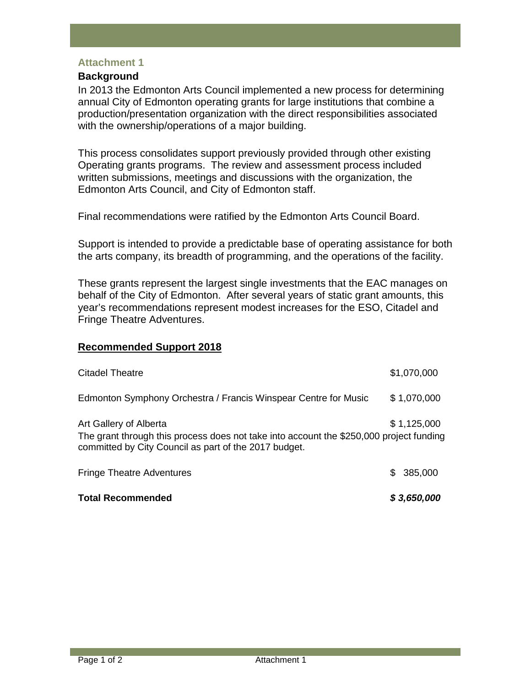## **Attachment 1**

## **Background**

In 2013 the Edmonton Arts Council implemented a new process for determining annual City of Edmonton operating grants for large institutions that combine a production/presentation organization with the direct responsibilities associated with the ownership/operations of a major building.

This process consolidates support previously provided through other existing Operating grants programs. The review and assessment process included written submissions, meetings and discussions with the organization, the Edmonton Arts Council, and City of Edmonton staff.

Final recommendations were ratified by the Edmonton Arts Council Board.

Support is intended to provide a predictable base of operating assistance for both the arts company, its breadth of programming, and the operations of the facility.

These grants represent the largest single investments that the EAC manages on behalf of the City of Edmonton. After several years of static grant amounts, this year's recommendations represent modest increases for the ESO, Citadel and Fringe Theatre Adventures.

## **Recommended Support 2018**

| <b>Total Recommended</b>                                                                                                                                                   |     | \$3,650,000 |
|----------------------------------------------------------------------------------------------------------------------------------------------------------------------------|-----|-------------|
| <b>Fringe Theatre Adventures</b>                                                                                                                                           | SS. | 385,000     |
| Art Gallery of Alberta<br>The grant through this process does not take into account the \$250,000 project funding<br>committed by City Council as part of the 2017 budget. |     | \$1,125,000 |
| Edmonton Symphony Orchestra / Francis Winspear Centre for Music                                                                                                            |     | \$1,070,000 |
| Citadel Theatre                                                                                                                                                            |     | \$1,070,000 |